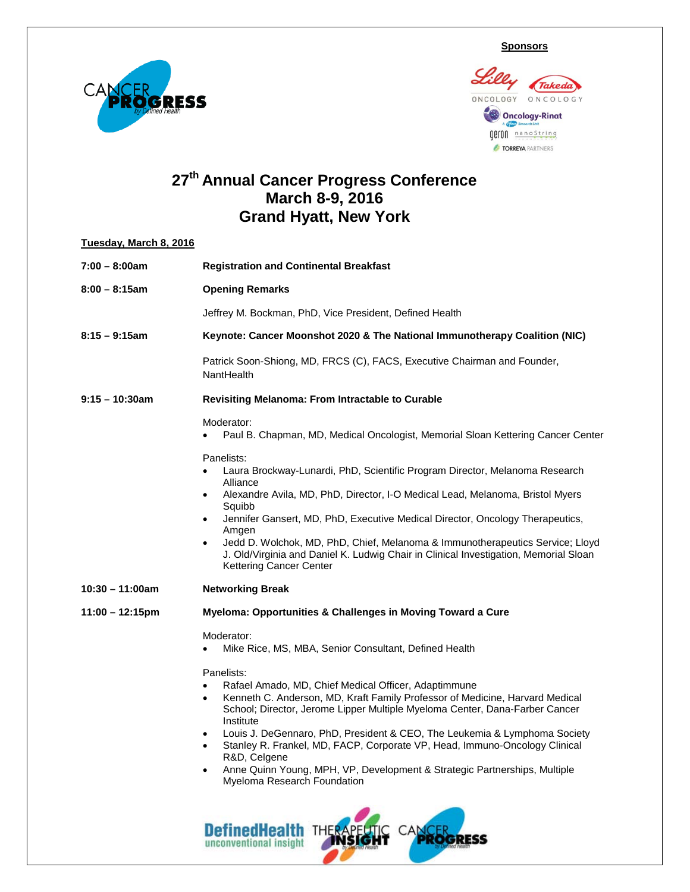**Sponsors**





## **27th Annual Cancer Progress Conference March 8-9, 2016 Grand Hyatt, New York**

## **Tuesday, March 8, 2016 7:00 – 8:00am Registration and Continental Breakfast 8:00 – 8:15am Opening Remarks**  Jeffrey M. Bockman, PhD, Vice President, Defined Health **8:15 – 9:15am Keynote: Cancer Moonshot 2020 & The National Immunotherapy Coalition (NIC)** Patrick Soon-Shiong, MD, FRCS (C), FACS, Executive Chairman and Founder, **NantHealth 9:15 – 10:30am Revisiting Melanoma: From Intractable to Curable** Moderator: • Paul B. Chapman, MD, Medical Oncologist, Memorial Sloan Kettering Cancer Center Panelists: • Laura Brockway-Lunardi, PhD, Scientific Program Director, Melanoma Research Alliance • Alexandre Avila, MD, PhD, Director, I-O Medical Lead, Melanoma, Bristol Myers Squibb • Jennifer Gansert, MD, PhD, Executive Medical Director, Oncology Therapeutics, Amgen • Jedd D. Wolchok, MD, PhD, Chief, Melanoma & Immunotherapeutics Service; Lloyd J. Old/Virginia and Daniel K. Ludwig Chair in Clinical Investigation, Memorial Sloan Kettering Cancer Center **10:30 – 11:00am Networking Break 11:00 – 12:15pm Myeloma: Opportunities & Challenges in Moving Toward a Cure** Moderator: • Mike Rice, MS, MBA, Senior Consultant, Defined Health Panelists: • Rafael Amado, MD, Chief Medical Officer, Adaptimmune • Kenneth C. Anderson, MD, Kraft Family Professor of Medicine, Harvard Medical School; Director, Jerome Lipper Multiple Myeloma Center, Dana-Farber Cancer Institute • Louis J. DeGennaro, PhD, President & CEO, The Leukemia & Lymphoma Society • Stanley R. Frankel, MD, FACP, Corporate VP, Head, Immuno-Oncology Clinical R&D, Celgene • Anne Quinn Young, MPH, VP, Development & Strategic Partnerships, Multiple Myeloma Research Foundation

**DefinedHealth** 

unconventional insight

TH

**GRESS**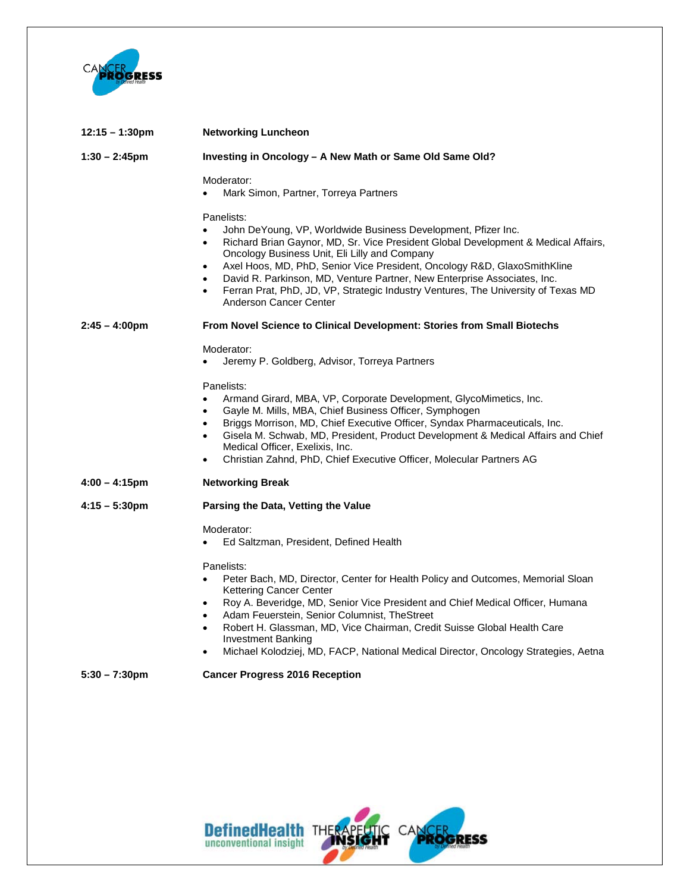

| $12:15 - 1:30$ pm       | <b>Networking Luncheon</b>                                                                                                                                                                                                                                                                                                                                                                                                                                                                                                                                 |
|-------------------------|------------------------------------------------------------------------------------------------------------------------------------------------------------------------------------------------------------------------------------------------------------------------------------------------------------------------------------------------------------------------------------------------------------------------------------------------------------------------------------------------------------------------------------------------------------|
| $1:30 - 2:45$ pm        | Investing in Oncology - A New Math or Same Old Same Old?                                                                                                                                                                                                                                                                                                                                                                                                                                                                                                   |
|                         | Moderator:<br>Mark Simon, Partner, Torreya Partners<br>$\bullet$                                                                                                                                                                                                                                                                                                                                                                                                                                                                                           |
|                         | Panelists:<br>John DeYoung, VP, Worldwide Business Development, Pfizer Inc.<br>$\bullet$<br>Richard Brian Gaynor, MD, Sr. Vice President Global Development & Medical Affairs,<br>$\bullet$<br>Oncology Business Unit, Eli Lilly and Company<br>Axel Hoos, MD, PhD, Senior Vice President, Oncology R&D, GlaxoSmithKline<br>$\bullet$<br>David R. Parkinson, MD, Venture Partner, New Enterprise Associates, Inc.<br>$\bullet$<br>Ferran Prat, PhD, JD, VP, Strategic Industry Ventures, The University of Texas MD<br>$\bullet$<br>Anderson Cancer Center |
| $2:45 - 4:00 \text{pm}$ | <b>From Novel Science to Clinical Development: Stories from Small Biotechs</b>                                                                                                                                                                                                                                                                                                                                                                                                                                                                             |
|                         | Moderator:<br>Jeremy P. Goldberg, Advisor, Torreya Partners<br>$\bullet$                                                                                                                                                                                                                                                                                                                                                                                                                                                                                   |
|                         | Panelists:<br>Armand Girard, MBA, VP, Corporate Development, GlycoMimetics, Inc.<br>$\bullet$<br>Gayle M. Mills, MBA, Chief Business Officer, Symphogen<br>$\bullet$<br>Briggs Morrison, MD, Chief Executive Officer, Syndax Pharmaceuticals, Inc.<br>$\bullet$<br>Gisela M. Schwab, MD, President, Product Development & Medical Affairs and Chief<br>$\bullet$<br>Medical Officer, Exelixis, Inc.<br>Christian Zahnd, PhD, Chief Executive Officer, Molecular Partners AG<br>$\bullet$                                                                   |
| $4:00 - 4:15 \text{pm}$ | <b>Networking Break</b>                                                                                                                                                                                                                                                                                                                                                                                                                                                                                                                                    |
| $4:15 - 5:30 \text{pm}$ | Parsing the Data, Vetting the Value                                                                                                                                                                                                                                                                                                                                                                                                                                                                                                                        |
|                         | Moderator:<br>Ed Saltzman, President, Defined Health                                                                                                                                                                                                                                                                                                                                                                                                                                                                                                       |
|                         | Panelists:<br>Peter Bach, MD, Director, Center for Health Policy and Outcomes, Memorial Sloan<br>$\bullet$<br>Kettering Cancer Center<br>Roy A. Beveridge, MD, Senior Vice President and Chief Medical Officer, Humana<br>$\bullet$<br>Adam Feuerstein, Senior Columnist, TheStreet<br>$\bullet$<br>Robert H. Glassman, MD, Vice Chairman, Credit Suisse Global Health Care<br>$\bullet$<br><b>Investment Banking</b><br>Michael Kolodziej, MD, FACP, National Medical Director, Oncology Strategies, Aetna<br>$\bullet$                                   |
| $5:30 - 7:30 \text{pm}$ | <b>Cancer Progress 2016 Reception</b>                                                                                                                                                                                                                                                                                                                                                                                                                                                                                                                      |

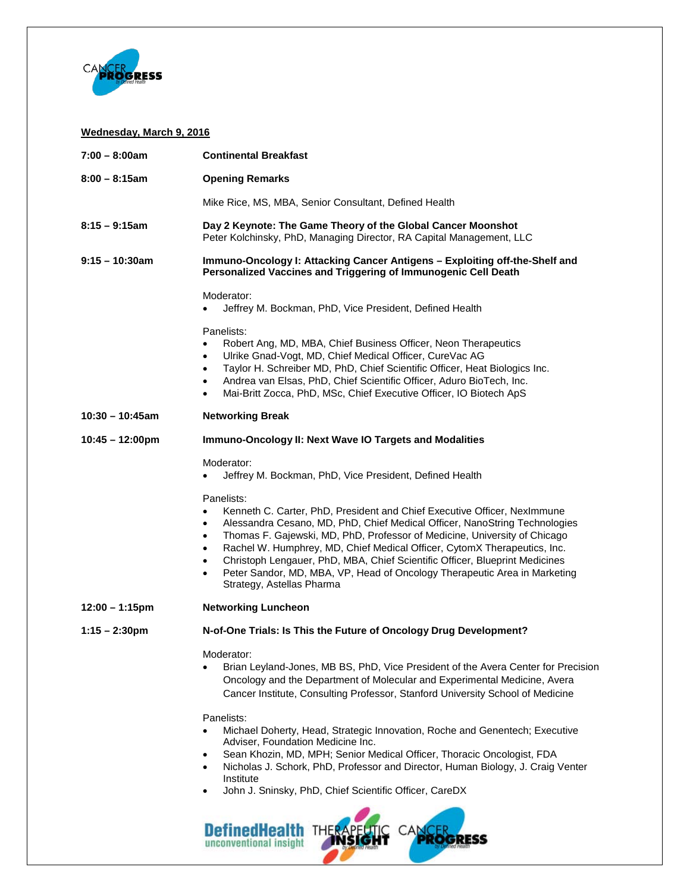

## **Wednesday, March 9, 2016**

| $7:00 - 8:00am$           | <b>Continental Breakfast</b>                                                                                                                                                                                                                                                                                                                                                                                                                                                                                                                                                            |
|---------------------------|-----------------------------------------------------------------------------------------------------------------------------------------------------------------------------------------------------------------------------------------------------------------------------------------------------------------------------------------------------------------------------------------------------------------------------------------------------------------------------------------------------------------------------------------------------------------------------------------|
| $8:00 - 8:15$ am          | <b>Opening Remarks</b>                                                                                                                                                                                                                                                                                                                                                                                                                                                                                                                                                                  |
|                           | Mike Rice, MS, MBA, Senior Consultant, Defined Health                                                                                                                                                                                                                                                                                                                                                                                                                                                                                                                                   |
| $8:15 - 9:15$ am          | Day 2 Keynote: The Game Theory of the Global Cancer Moonshot<br>Peter Kolchinsky, PhD, Managing Director, RA Capital Management, LLC                                                                                                                                                                                                                                                                                                                                                                                                                                                    |
| $9:15 - 10:30$ am         | Immuno-Oncology I: Attacking Cancer Antigens - Exploiting off-the-Shelf and<br>Personalized Vaccines and Triggering of Immunogenic Cell Death                                                                                                                                                                                                                                                                                                                                                                                                                                           |
|                           | Moderator:<br>Jeffrey M. Bockman, PhD, Vice President, Defined Health                                                                                                                                                                                                                                                                                                                                                                                                                                                                                                                   |
|                           | Panelists:<br>Robert Ang, MD, MBA, Chief Business Officer, Neon Therapeutics<br>$\bullet$<br>Ulrike Gnad-Vogt, MD, Chief Medical Officer, CureVac AG<br>$\bullet$<br>Taylor H. Schreiber MD, PhD, Chief Scientific Officer, Heat Biologics Inc.<br>$\bullet$<br>Andrea van Elsas, PhD, Chief Scientific Officer, Aduro BioTech, Inc.<br>$\bullet$<br>Mai-Britt Zocca, PhD, MSc, Chief Executive Officer, IO Biotech ApS<br>$\bullet$                                                                                                                                                    |
| $10:30 - 10:45$ am        | <b>Networking Break</b>                                                                                                                                                                                                                                                                                                                                                                                                                                                                                                                                                                 |
| $10:45 - 12:00 \text{pm}$ | Immuno-Oncology II: Next Wave IO Targets and Modalities                                                                                                                                                                                                                                                                                                                                                                                                                                                                                                                                 |
|                           | Moderator:<br>Jeffrey M. Bockman, PhD, Vice President, Defined Health                                                                                                                                                                                                                                                                                                                                                                                                                                                                                                                   |
|                           | Panelists:<br>Kenneth C. Carter, PhD, President and Chief Executive Officer, NexImmune<br>$\bullet$<br>Alessandra Cesano, MD, PhD, Chief Medical Officer, NanoString Technologies<br>Thomas F. Gajewski, MD, PhD, Professor of Medicine, University of Chicago<br>$\bullet$<br>Rachel W. Humphrey, MD, Chief Medical Officer, CytomX Therapeutics, Inc.<br>$\bullet$<br>Christoph Lengauer, PhD, MBA, Chief Scientific Officer, Blueprint Medicines<br>$\bullet$<br>Peter Sandor, MD, MBA, VP, Head of Oncology Therapeutic Area in Marketing<br>$\bullet$<br>Strategy, Astellas Pharma |
| $12:00 - 1:15$ pm         | <b>Networking Luncheon</b>                                                                                                                                                                                                                                                                                                                                                                                                                                                                                                                                                              |
| $1:15 - 2:30$ pm          | N-of-One Trials: Is This the Future of Oncology Drug Development?                                                                                                                                                                                                                                                                                                                                                                                                                                                                                                                       |
|                           | Moderator:<br>Brian Leyland-Jones, MB BS, PhD, Vice President of the Avera Center for Precision<br>Oncology and the Department of Molecular and Experimental Medicine, Avera<br>Cancer Institute, Consulting Professor, Stanford University School of Medicine                                                                                                                                                                                                                                                                                                                          |
|                           | Panelists:<br>Michael Doherty, Head, Strategic Innovation, Roche and Genentech; Executive<br>Adviser, Foundation Medicine Inc.<br>Sean Khozin, MD, MPH; Senior Medical Officer, Thoracic Oncologist, FDA<br>٠<br>Nicholas J. Schork, PhD, Professor and Director, Human Biology, J. Craig Venter<br>Institute<br>John J. Sninsky, PhD, Chief Scientific Officer, CareDX<br>$\bullet$<br>CANC<br>outss<br>unconventional insight                                                                                                                                                         |